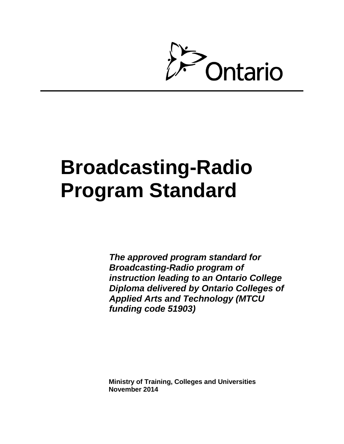

# **Broadcasting-Radio Program Standard**

*The approved program standard for Broadcasting-Radio program of instruction leading to an Ontario College Diploma delivered by Ontario Colleges of Applied Arts and Technology (MTCU funding code 51903)* 

**Ministry of Training, Colleges and Universities November 2014**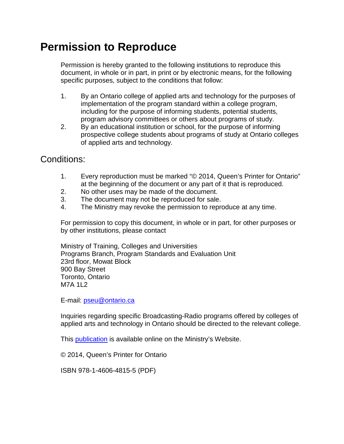# **Permission to Reproduce**

Permission is hereby granted to the following institutions to reproduce this document, in whole or in part, in print or by electronic means, for the following specific purposes, subject to the conditions that follow:

- 1. By an Ontario college of applied arts and technology for the purposes of implementation of the program standard within a college program, including for the purpose of informing students, potential students, program advisory committees or others about programs of study.
- 2. By an educational institution or school, for the purpose of informing prospective college students about programs of study at Ontario colleges of applied arts and technology.

Conditions:

- 1. Every reproduction must be marked "© 2014, Queen's Printer for Ontario" at the beginning of the document or any part of it that is reproduced.
- 2. No other uses may be made of the document.
- 3. The document may not be reproduced for sale.
- 4. The Ministry may revoke the permission to reproduce at any time.

For permission to copy this document, in whole or in part, for other purposes or by other institutions, please contact

Ministry of Training, Colleges and Universities Programs Branch, Program Standards and Evaluation Unit 23rd floor, Mowat Block 900 Bay Street Toronto, Ontario M7A 1L2

E-mail: [pseu@ontario.ca](mailto:pseu@ontario.ca)

Inquiries regarding specific Broadcasting-Radio programs offered by colleges of applied arts and technology in Ontario should be directed to the relevant college.

This [publication](http://www.tcu.gov.on.ca/) is available online on the Ministry's Website.

© 2014, Queen's Printer for Ontario

ISBN 978-1-4606-4815-5 (PDF)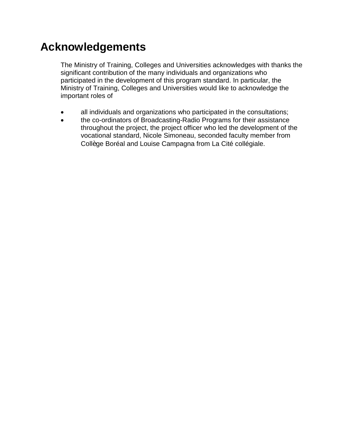# **Acknowledgements**

The Ministry of Training, Colleges and Universities acknowledges with thanks the significant contribution of the many individuals and organizations who participated in the development of this program standard. In particular, the Ministry of Training, Colleges and Universities would like to acknowledge the important roles of

- $\bullet$ all individuals and organizations who participated in the consultations;
- the co-ordinators of Broadcasting-Radio Programs for their assistance throughout the project, the project officer who led the development of the vocational standard, Nicole Simoneau, seconded faculty member from Collège Boréal and Louise Campagna from La Cité collégiale.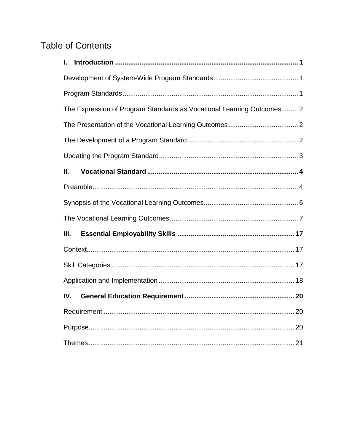# **Table of Contents**

| I.                                                                    |  |  |  |  |
|-----------------------------------------------------------------------|--|--|--|--|
|                                                                       |  |  |  |  |
|                                                                       |  |  |  |  |
| The Expression of Program Standards as Vocational Learning Outcomes 2 |  |  |  |  |
|                                                                       |  |  |  |  |
|                                                                       |  |  |  |  |
|                                                                       |  |  |  |  |
| Ш.                                                                    |  |  |  |  |
|                                                                       |  |  |  |  |
|                                                                       |  |  |  |  |
|                                                                       |  |  |  |  |
| III.                                                                  |  |  |  |  |
|                                                                       |  |  |  |  |
|                                                                       |  |  |  |  |
|                                                                       |  |  |  |  |
| IV.                                                                   |  |  |  |  |
|                                                                       |  |  |  |  |
|                                                                       |  |  |  |  |
|                                                                       |  |  |  |  |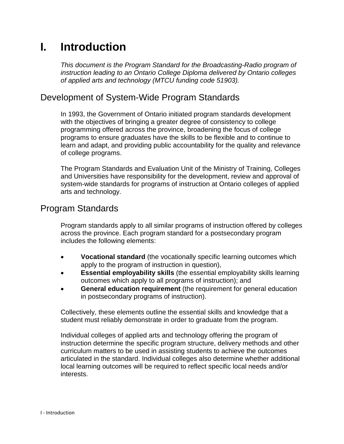# <span id="page-6-0"></span>**I. Introduction**

*This document is the Program Standard for the Broadcasting-Radio program of instruction leading to an Ontario College Diploma delivered by Ontario colleges of applied arts and technology (MTCU funding code 51903).*

# <span id="page-6-1"></span>Development of System-Wide Program Standards

In 1993, the Government of Ontario initiated program standards development with the objectives of bringing a greater degree of consistency to college programming offered across the province, broadening the focus of college programs to ensure graduates have the skills to be flexible and to continue to learn and adapt, and providing public accountability for the quality and relevance of college programs.

The Program Standards and Evaluation Unit of the Ministry of Training, Colleges and Universities have responsibility for the development, review and approval of system-wide standards for programs of instruction at Ontario colleges of applied arts and technology.

# <span id="page-6-2"></span>Program Standards

Program standards apply to all similar programs of instruction offered by colleges across the province. Each program standard for a postsecondary program includes the following elements:

- **Vocational standard** (the vocationally specific learning outcomes which apply to the program of instruction in question),
- **Essential employability skills** (the essential employability skills learning outcomes which apply to all programs of instruction); and
- **General education requirement** (the requirement for general education in postsecondary programs of instruction).

Collectively, these elements outline the essential skills and knowledge that a student must reliably demonstrate in order to graduate from the program.

Individual colleges of applied arts and technology offering the program of instruction determine the specific program structure, delivery methods and other curriculum matters to be used in assisting students to achieve the outcomes articulated in the standard. Individual colleges also determine whether additional local learning outcomes will be required to reflect specific local needs and/or interests.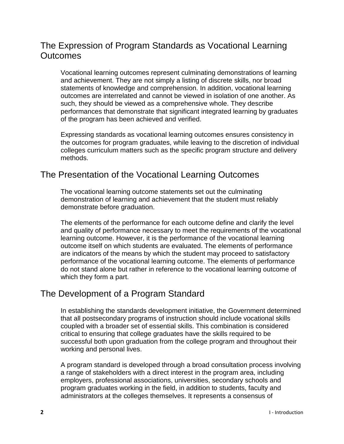# <span id="page-7-0"></span>The Expression of Program Standards as Vocational Learning **Outcomes**

Vocational learning outcomes represent culminating demonstrations of learning and achievement. They are not simply a listing of discrete skills, nor broad statements of knowledge and comprehension. In addition, vocational learning outcomes are interrelated and cannot be viewed in isolation of one another. As such, they should be viewed as a comprehensive whole. They describe performances that demonstrate that significant integrated learning by graduates of the program has been achieved and verified.

Expressing standards as vocational learning outcomes ensures consistency in the outcomes for program graduates, while leaving to the discretion of individual colleges curriculum matters such as the specific program structure and delivery methods.

# <span id="page-7-1"></span>The Presentation of the Vocational Learning Outcomes

The vocational learning outcome statements set out the culminating demonstration of learning and achievement that the student must reliably demonstrate before graduation.

The elements of the performance for each outcome define and clarify the level and quality of performance necessary to meet the requirements of the vocational learning outcome. However, it is the performance of the vocational learning outcome itself on which students are evaluated. The elements of performance are indicators of the means by which the student may proceed to satisfactory performance of the vocational learning outcome. The elements of performance do not stand alone but rather in reference to the vocational learning outcome of which they form a part.

# <span id="page-7-2"></span>The Development of a Program Standard

In establishing the standards development initiative, the Government determined that all postsecondary programs of instruction should include vocational skills coupled with a broader set of essential skills. This combination is considered critical to ensuring that college graduates have the skills required to be successful both upon graduation from the college program and throughout their working and personal lives.

A program standard is developed through a broad consultation process involving a range of stakeholders with a direct interest in the program area, including employers, professional associations, universities, secondary schools and program graduates working in the field, in addition to students, faculty and administrators at the colleges themselves. It represents a consensus of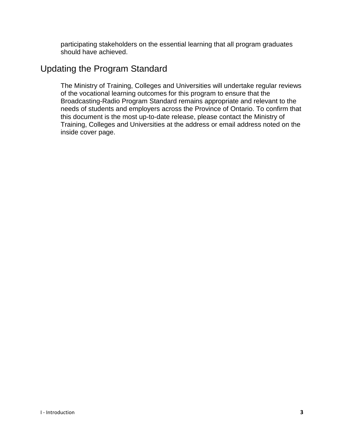participating stakeholders on the essential learning that all program graduates should have achieved.

### <span id="page-8-0"></span>Updating the Program Standard

The Ministry of Training, Colleges and Universities will undertake regular reviews of the vocational learning outcomes for this program to ensure that the Broadcasting-Radio Program Standard remains appropriate and relevant to the needs of students and employers across the Province of Ontario. To confirm that this document is the most up-to-date release, please contact the Ministry of Training, Colleges and Universities at the address or email address noted on the inside cover page.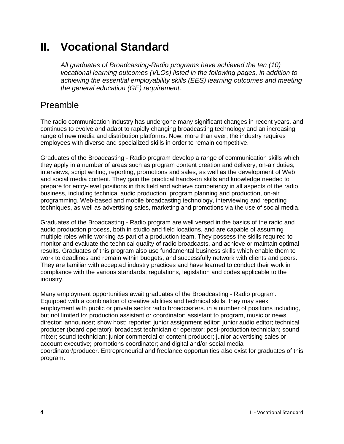# <span id="page-9-0"></span>**II. Vocational Standard**

*All graduates of Broadcasting-Radio programs have achieved the ten (10) vocational learning outcomes (VLOs) listed in the following pages, in addition to achieving the essential employability skills (EES) learning outcomes and meeting the general education (GE) requirement.*

# <span id="page-9-1"></span>Preamble

The radio communication industry has undergone many significant changes in recent years, and continues to evolve and adapt to rapidly changing broadcasting technology and an increasing range of new media and distribution platforms. Now, more than ever, the industry requires employees with diverse and specialized skills in order to remain competitive.

Graduates of the Broadcasting - Radio program develop a range of communication skills which they apply in a number of areas such as program content creation and delivery, on-air duties, interviews, script writing, reporting, promotions and sales, as well as the development of Web and social media content. They gain the practical hands-on skills and knowledge needed to prepare for entry-level positions in this field and achieve competency in all aspects of the radio business, including technical audio production, program planning and production, on-air programming, Web-based and mobile broadcasting technology, interviewing and reporting techniques, as well as advertising sales, marketing and promotions via the use of social media.

Graduates of the Broadcasting - Radio program are well versed in the basics of the radio and audio production process, both in studio and field locations, and are capable of assuming multiple roles while working as part of a production team. They possess the skills required to monitor and evaluate the technical quality of radio broadcasts, and achieve or maintain optimal results. Graduates of this program also use fundamental business skills which enable them to work to deadlines and remain within budgets, and successfully network with clients and peers. They are familiar with accepted industry practices and have learned to conduct their work in compliance with the various standards, regulations, legislation and codes applicable to the industry.

Many employment opportunities await graduates of the Broadcasting - Radio program. Equipped with a combination of creative abilities and technical skills, they may seek employment with public or private sector radio broadcasters. in a number of positions including, but not limited to: production assistant or coordinator; assistant to program, music or news director; announcer; show host; reporter; junior assignment editor; junior audio editor; technical producer (board operator); broadcast technician or operator; post-production technician; sound mixer; sound technician; junior commercial or content producer; junior advertising sales or account executive; promotions coordinator; and digital and/or social media coordinator/producer. Entrepreneurial and freelance opportunities also exist for graduates of this program.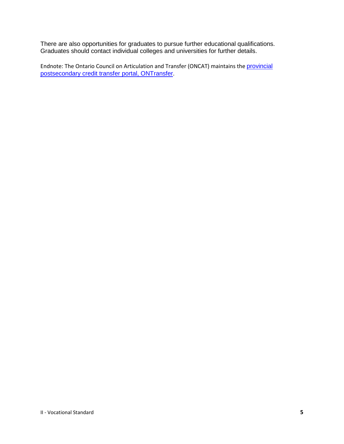There are also opportunities for graduates to pursue further educational qualifications. Graduates should contact individual colleges and universities for further details.

Endnote: The Ontario Council on Articulation and Transfer (ONCAT) maintains the [provincial](http://www.ontransfer.ca/)  [postsecondary credit transfer portal, ONTransfer](http://www.ontransfer.ca/).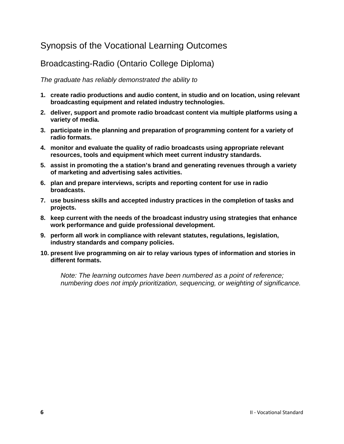# <span id="page-11-0"></span>Synopsis of the Vocational Learning Outcomes

### Broadcasting-Radio (Ontario College Diploma)

#### *The graduate has reliably demonstrated the ability to*

- **1. create radio productions and audio content, in studio and on location, using relevant broadcasting equipment and related industry technologies.**
- **2. deliver, support and promote radio broadcast content via multiple platforms using a variety of media.**
- **3. participate in the planning and preparation of programming content for a variety of radio formats.**
- **4. monitor and evaluate the quality of radio broadcasts using appropriate relevant resources, tools and equipment which meet current industry standards.**
- **5. assist in promoting the a station's brand and generating revenues through a variety of marketing and advertising sales activities.**
- **6. plan and prepare interviews, scripts and reporting content for use in radio broadcasts.**
- **7. use business skills and accepted industry practices in the completion of tasks and projects.**
- **8. keep current with the needs of the broadcast industry using strategies that enhance work performance and guide professional development.**
- **9. perform all work in compliance with relevant statutes, regulations, legislation, industry standards and company policies.**
- **10. present live programming on air to relay various types of information and stories in different formats.**

*Note: The learning outcomes have been numbered as a point of reference; numbering does not imply prioritization, sequencing, or weighting of significance.*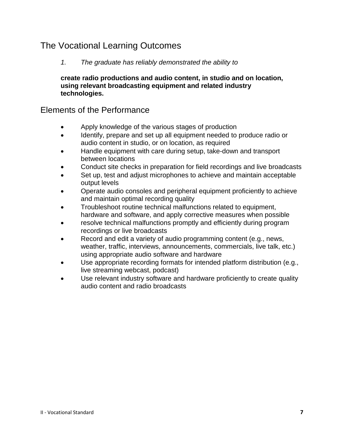# <span id="page-12-0"></span>The Vocational Learning Outcomes

#### *1. The graduate has reliably demonstrated the ability to*

**create radio productions and audio content, in studio and on location, using relevant broadcasting equipment and related industry technologies.** 

- Apply knowledge of the various stages of production
- Identify, prepare and set up all equipment needed to produce radio or audio content in studio, or on location, as required
- Handle equipment with care during setup, take-down and transport between locations
- Conduct site checks in preparation for field recordings and live broadcasts
- Set up, test and adjust microphones to achieve and maintain acceptable output levels
- Operate audio consoles and peripheral equipment proficiently to achieve and maintain optimal recording quality
- Troubleshoot routine technical malfunctions related to equipment, hardware and software, and apply corrective measures when possible
- resolve technical malfunctions promptly and efficiently during program recordings or live broadcasts
- Record and edit a variety of audio programming content (e.g., news, weather, traffic, interviews, announcements, commercials, live talk, etc.) using appropriate audio software and hardware
- Use appropriate recording formats for intended platform distribution (e.g., live streaming webcast, podcast)
- Use relevant industry software and hardware proficiently to create quality audio content and radio broadcasts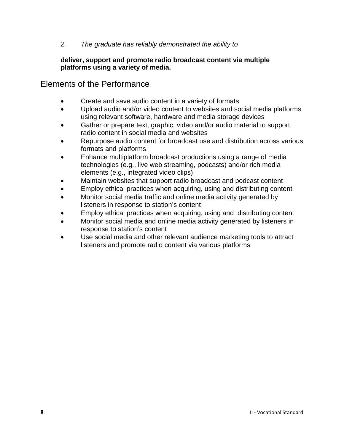#### **deliver, support and promote radio broadcast content via multiple platforms using a variety of media.**

- Create and save audio content in a variety of formats
- Upload audio and/or video content to websites and social media platforms using relevant software, hardware and media storage devices
- Gather or prepare text, graphic, video and/or audio material to support radio content in social media and websites
- Repurpose audio content for broadcast use and distribution across various formats and platforms
- Enhance multiplatform broadcast productions using a range of media technologies (e.g., live web streaming, podcasts) and/or rich media elements (e.g., integrated video clips)
- Maintain websites that support radio broadcast and podcast content
- Employ ethical practices when acquiring, using and distributing content
- Monitor social media traffic and online media activity generated by listeners in response to station's content
- Employ ethical practices when acquiring, using and distributing content
- Monitor social media and online media activity generated by listeners in response to station's content
- Use social media and other relevant audience marketing tools to attract listeners and promote radio content via various platforms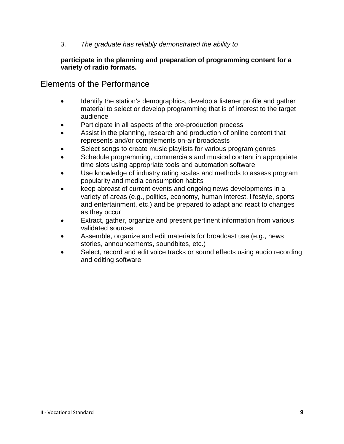#### **participate in the planning and preparation of programming content for a variety of radio formats.**

- Identify the station's demographics, develop a listener profile and gather material to select or develop programming that is of interest to the target audience
- Participate in all aspects of the pre-production process
- Assist in the planning, research and production of online content that represents and/or complements on-air broadcasts
- Select songs to create music playlists for various program genres
- Schedule programming, commercials and musical content in appropriate time slots using appropriate tools and automation software
- Use knowledge of industry rating scales and methods to assess program popularity and media consumption habits
- keep abreast of current events and ongoing news developments in a variety of areas (e.g., politics, economy, human interest, lifestyle, sports and entertainment, etc.) and be prepared to adapt and react to changes as they occur
- Extract, gather, organize and present pertinent information from various validated sources
- Assemble, organize and edit materials for broadcast use (e.g., news stories, announcements, soundbites, etc.)
- Select, record and edit voice tracks or sound effects using audio recording and editing software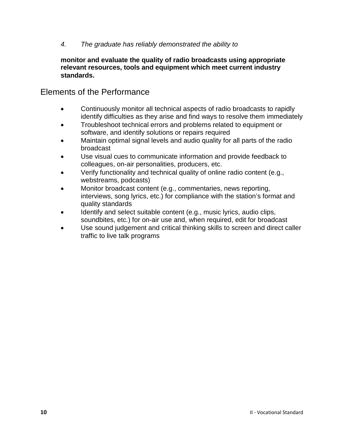**monitor and evaluate the quality of radio broadcasts using appropriate relevant resources, tools and equipment which meet current industry standards.** 

- Continuously monitor all technical aspects of radio broadcasts to rapidly identify difficulties as they arise and find ways to resolve them immediately
- Troubleshoot technical errors and problems related to equipment or software, and identify solutions or repairs required
- Maintain optimal signal levels and audio quality for all parts of the radio broadcast
- Use visual cues to communicate information and provide feedback to colleagues, on-air personalities, producers, etc.
- Verify functionality and technical quality of online radio content (e.g., webstreams, podcasts)
- Monitor broadcast content (e.g., commentaries, news reporting, interviews, song lyrics, etc.) for compliance with the station's format and quality standards
- Identify and select suitable content (e.g., music lyrics, audio clips, soundbites, etc.) for on-air use and, when required, edit for broadcast
- Use sound judgement and critical thinking skills to screen and direct caller traffic to live talk programs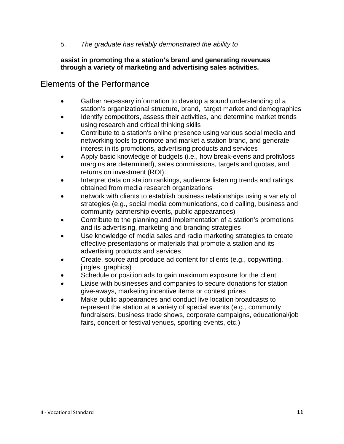#### **assist in promoting the a station's brand and generating revenues through a variety of marketing and advertising sales activities.**

- Gather necessary information to develop a sound understanding of a station's organizational structure, brand, target market and demographics
- Identify competitors, assess their activities, and determine market trends using research and critical thinking skills
- Contribute to a station's online presence using various social media and networking tools to promote and market a station brand, and generate interest in its promotions, advertising products and services
- Apply basic knowledge of budgets (i.e., how break-evens and profit/loss margins are determined), sales commissions, targets and quotas, and returns on investment (ROI)
- Interpret data on station rankings, audience listening trends and ratings obtained from media research organizations
- network with clients to establish business relationships using a variety of strategies (e.g., social media communications, cold calling, business and community partnership events, public appearances)
- Contribute to the planning and implementation of a station's promotions and its advertising, marketing and branding strategies
- Use knowledge of media sales and radio marketing strategies to create effective presentations or materials that promote a station and its advertising products and services
- Create, source and produce ad content for clients (e.g., copywriting, jingles, graphics)
- Schedule or position ads to gain maximum exposure for the client
- Liaise with businesses and companies to secure donations for station give-aways, marketing incentive items or contest prizes
- Make public appearances and conduct live location broadcasts to represent the station at a variety of special events (e.g., community fundraisers, business trade shows, corporate campaigns, educational/job fairs, concert or festival venues, sporting events, etc.)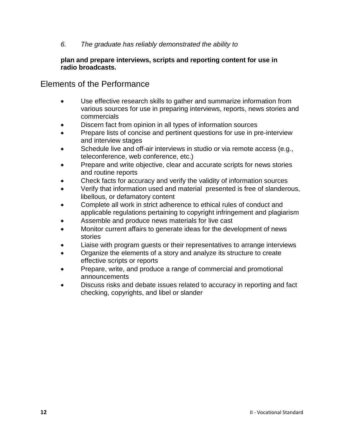#### **plan and prepare interviews, scripts and reporting content for use in radio broadcasts.**

- Use effective research skills to gather and summarize information from various sources for use in preparing interviews, reports, news stories and commercials
- Discern fact from opinion in all types of information sources
- Prepare lists of concise and pertinent questions for use in pre-interview and interview stages
- Schedule live and off-air interviews in studio or via remote access (e.g., teleconference, web conference, etc.)
- Prepare and write objective, clear and accurate scripts for news stories and routine reports
- Check facts for accuracy and verify the validity of information sources
- Verify that information used and material presented is free of slanderous, libellous, or defamatory content
- Complete all work in strict adherence to ethical rules of conduct and applicable regulations pertaining to copyright infringement and plagiarism
- Assemble and produce news materials for live cast
- Monitor current affairs to generate ideas for the development of news stories
- Liaise with program guests or their representatives to arrange interviews
- Organize the elements of a story and analyze its structure to create effective scripts or reports
- Prepare, write, and produce a range of commercial and promotional announcements
- Discuss risks and debate issues related to accuracy in reporting and fact checking, copyrights, and libel or slander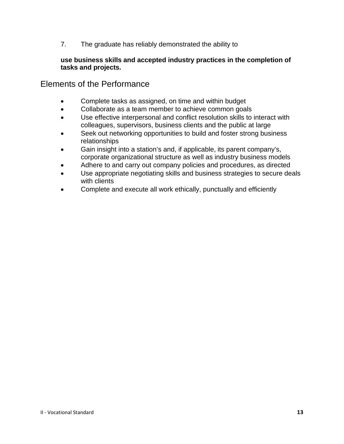#### **use business skills and accepted industry practices in the completion of tasks and projects.**

- Complete tasks as assigned, on time and within budget
- Collaborate as a team member to achieve common goals
- Use effective interpersonal and conflict resolution skills to interact with colleagues, supervisors, business clients and the public at large
- Seek out networking opportunities to build and foster strong business relationships
- Gain insight into a station's and, if applicable, its parent company's, corporate organizational structure as well as industry business models
- Adhere to and carry out company policies and procedures, as directed
- Use appropriate negotiating skills and business strategies to secure deals with clients
- Complete and execute all work ethically, punctually and efficiently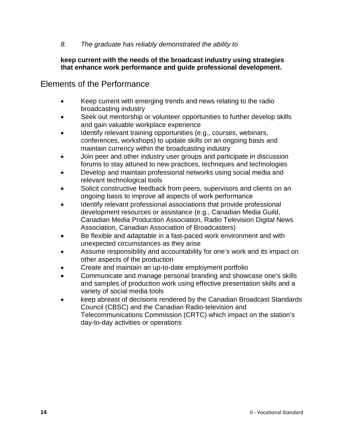#### **keep current with the needs of the broadcast industry using strategies that enhance work performance and guide professional development.**

- Keep current with emerging trends and news relating to the radio broadcasting industry
- Seek out mentorship or volunteer opportunities to further develop skills and gain valuable workplace experience
- Identify relevant training opportunities (e.g., courses, webinars, conferences, workshops) to update skills on an ongoing basis and maintain currency within the broadcasting industry
- Join peer and other industry user groups and participate in discussion forums to stay attuned to new practices, techniques and technologies
- Develop and maintain professional networks using social media and relevant technological tools
- Solicit constructive feedback from peers, supervisors and clients on an ongoing basis to improve all aspects of work performance
- Identify relevant professional associations that provide professional development resources or assistance (e.g., Canadian Media Guild, Canadian Media Production Association, Radio Television Digital News Association, Canadian Association of Broadcasters)
- Be flexible and adaptable in a fast-paced work environment and with unexpected circumstances as they arise
- Assume responsibility and accountability for one's work and its impact on other aspects of the production
- Create and maintain an up-to-date employment portfolio
- Communicate and manage personal branding and showcase one's skills and samples of production work using effective presentation skills and a variety of social media tools
- keep abreast of decisions rendered by the Canadian Broadcast Standards Council (CBSC) and the Canadian Radio-television and Telecommunications Commission (CRTC) which impact on the station's day-to-day activities or operations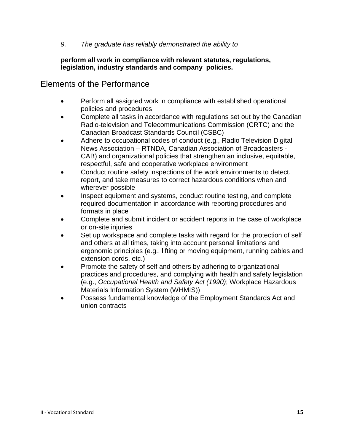#### **perform all work in compliance with relevant statutes, regulations, legislation, industry standards and company policies.**

- Perform all assigned work in compliance with established operational policies and procedures
- Complete all tasks in accordance with regulations set out by the Canadian Radio-television and Telecommunications Commission (CRTC) and the Canadian Broadcast Standards Council (CSBC)
- Adhere to occupational codes of conduct (e.g., Radio Television Digital News Association – RTNDA, Canadian Association of Broadcasters - CAB) and organizational policies that strengthen an inclusive, equitable, respectful, safe and cooperative workplace environment
- Conduct routine safety inspections of the work environments to detect, report, and take measures to correct hazardous conditions when and wherever possible
- Inspect equipment and systems, conduct routine testing, and complete required documentation in accordance with reporting procedures and formats in place
- Complete and submit incident or accident reports in the case of workplace or on-site injuries
- Set up workspace and complete tasks with regard for the protection of self and others at all times, taking into account personal limitations and ergonomic principles (e.g., lifting or moving equipment, running cables and extension cords, etc.)
- Promote the safety of self and others by adhering to organizational practices and procedures, and complying with health and safety legislation (e.g., *Occupational Health and Safety Act (1990)*; Workplace Hazardous Materials Information System (WHMIS))
- Possess fundamental knowledge of the Employment Standards Act and union contracts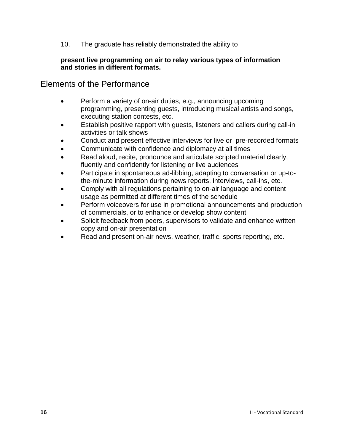#### **present live programming on air to relay various types of information and stories in different formats.**

- Perform a variety of on-air duties, e.g., announcing upcoming programming, presenting guests, introducing musical artists and songs, executing station contests, etc.
- Establish positive rapport with guests, listeners and callers during call-in activities or talk shows
- Conduct and present effective interviews for live or pre-recorded formats
- Communicate with confidence and diplomacy at all times
- Read aloud, recite, pronounce and articulate scripted material clearly, fluently and confidently for listening or live audiences
- Participate in spontaneous ad-libbing, adapting to conversation or up-tothe-minute information during news reports, interviews, call-ins, etc.
- Comply with all regulations pertaining to on-air language and content usage as permitted at different times of the schedule
- Perform voiceovers for use in promotional announcements and production of commercials, or to enhance or develop show content
- Solicit feedback from peers, supervisors to validate and enhance written copy and on-air presentation
- Read and present on-air news, weather, traffic, sports reporting, etc.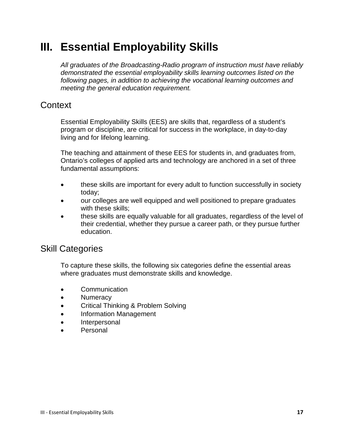# <span id="page-22-0"></span>**III. Essential Employability Skills**

*All graduates of the Broadcasting-Radio program of instruction must have reliably demonstrated the essential employability skills learning outcomes listed on the following pages, in addition to achieving the vocational learning outcomes and meeting the general education requirement.*

# <span id="page-22-1"></span>**Context**

Essential Employability Skills (EES) are skills that, regardless of a student's program or discipline, are critical for success in the workplace, in day-to-day living and for lifelong learning.

The teaching and attainment of these EES for students in, and graduates from, Ontario's colleges of applied arts and technology are anchored in a set of three fundamental assumptions:

- these skills are important for every adult to function successfully in society today;
- our colleges are well equipped and well positioned to prepare graduates with these skills;
- these skills are equally valuable for all graduates, regardless of the level of their credential, whether they pursue a career path, or they pursue further education.

# <span id="page-22-2"></span>Skill Categories

To capture these skills, the following six categories define the essential areas where graduates must demonstrate skills and knowledge.

- Communication
- **Numeracy**
- Critical Thinking & Problem Solving
- Information Management
- $\bullet$ Interpersonal
- Personal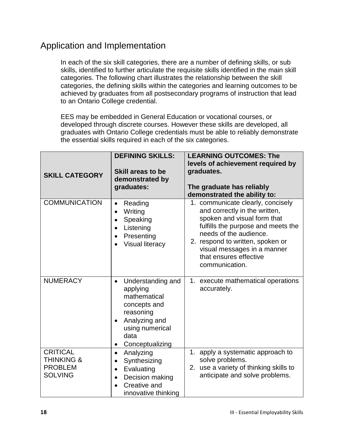# <span id="page-23-0"></span>Application and Implementation

In each of the six skill categories, there are a number of defining skills, or sub skills, identified to further articulate the requisite skills identified in the main skill categories. The following chart illustrates the relationship between the skill categories, the defining skills within the categories and learning outcomes to be achieved by graduates from all postsecondary programs of instruction that lead to an Ontario College credential.

EES may be embedded in General Education or vocational courses, or developed through discrete courses. However these skills are developed, all graduates with Ontario College credentials must be able to reliably demonstrate the essential skills required in each of the six categories.

| <b>SKILL CATEGORY</b>                                                        | <b>DEFINING SKILLS:</b><br>Skill areas to be<br>demonstrated by<br>graduates:                                                                                                    | <b>LEARNING OUTCOMES: The</b><br>levels of achievement required by<br>graduates.<br>The graduate has reliably<br>demonstrated the ability to:                                                                                                                                    |
|------------------------------------------------------------------------------|----------------------------------------------------------------------------------------------------------------------------------------------------------------------------------|----------------------------------------------------------------------------------------------------------------------------------------------------------------------------------------------------------------------------------------------------------------------------------|
| <b>COMMUNICATION</b>                                                         | Reading<br>$\bullet$<br>Writing<br>$\bullet$<br>Speaking<br>$\bullet$<br>Listening<br>$\bullet$<br>Presenting<br>$\bullet$<br><b>Visual literacy</b>                             | 1. communicate clearly, concisely<br>and correctly in the written,<br>spoken and visual form that<br>fulfills the purpose and meets the<br>needs of the audience.<br>2. respond to written, spoken or<br>visual messages in a manner<br>that ensures effective<br>communication. |
| <b>NUMERACY</b>                                                              | Understanding and<br>$\bullet$<br>applying<br>mathematical<br>concepts and<br>reasoning<br>Analyzing and<br>$\bullet$<br>using numerical<br>data<br>Conceptualizing<br>$\bullet$ | 1. execute mathematical operations<br>accurately.                                                                                                                                                                                                                                |
| <b>CRITICAL</b><br><b>THINKING &amp;</b><br><b>PROBLEM</b><br><b>SOLVING</b> | Analyzing<br>$\bullet$<br>Synthesizing<br>$\bullet$<br>Evaluating<br>$\bullet$<br>Decision making<br>$\bullet$<br>Creative and<br>innovative thinking                            | 1. apply a systematic approach to<br>solve problems.<br>2. use a variety of thinking skills to<br>anticipate and solve problems.                                                                                                                                                 |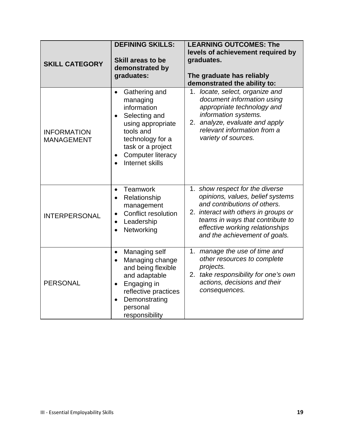| <b>SKILL CATEGORY</b>                   | <b>DEFINING SKILLS:</b><br>Skill areas to be<br>demonstrated by<br>graduates:                                                                                                                                     | <b>LEARNING OUTCOMES: The</b><br>levels of achievement required by<br>graduates.<br>The graduate has reliably<br>demonstrated the ability to:                                                                                                       |
|-----------------------------------------|-------------------------------------------------------------------------------------------------------------------------------------------------------------------------------------------------------------------|-----------------------------------------------------------------------------------------------------------------------------------------------------------------------------------------------------------------------------------------------------|
| <b>INFORMATION</b><br><b>MANAGEMENT</b> | Gathering and<br>$\bullet$<br>managing<br>information<br>Selecting and<br>$\bullet$<br>using appropriate<br>tools and<br>technology for a<br>task or a project<br><b>Computer literacy</b><br>Internet skills     | 1. locate, select, organize and<br>document information using<br>appropriate technology and<br>information systems.<br>2. analyze, evaluate and apply<br>relevant information from a<br>variety of sources.                                         |
| <b>INTERPERSONAL</b>                    | Teamwork<br>$\bullet$<br>Relationship<br>$\bullet$<br>management<br><b>Conflict resolution</b><br>$\bullet$<br>Leadership<br>$\bullet$<br>Networking<br>$\bullet$                                                 | 1. show respect for the diverse<br>opinions, values, belief systems<br>and contributions of others.<br>2. interact with others in groups or<br>teams in ways that contribute to<br>effective working relationships<br>and the achievement of goals. |
| <b>PERSONAL</b>                         | Managing self<br>$\bullet$<br>Managing change<br>$\bullet$<br>and being flexible<br>and adaptable<br>Engaging in<br>$\bullet$<br>reflective practices<br>Demonstrating<br>$\bullet$<br>personal<br>responsibility | 1. manage the use of time and<br>other resources to complete<br>projects.<br>2. take responsibility for one's own<br>actions, decisions and their<br>consequences.                                                                                  |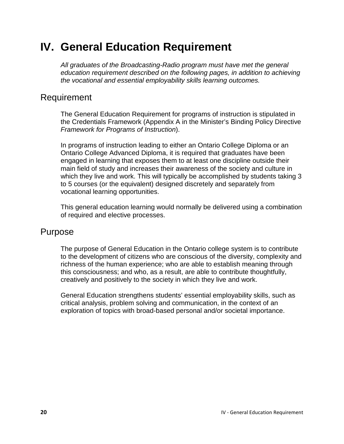# <span id="page-25-0"></span>**IV. General Education Requirement**

*All graduates of the Broadcasting-Radio program must have met the general education requirement described on the following pages, in addition to achieving the vocational and essential employability skills learning outcomes.*

### <span id="page-25-1"></span>Requirement

The General Education Requirement for programs of instruction is stipulated in the Credentials Framework (Appendix A in the Minister's Binding Policy Directive *Framework for Programs of Instruction*).

In programs of instruction leading to either an Ontario College Diploma or an Ontario College Advanced Diploma, it is required that graduates have been engaged in learning that exposes them to at least one discipline outside their main field of study and increases their awareness of the society and culture in which they live and work. This will typically be accomplished by students taking 3 to 5 courses (or the equivalent) designed discretely and separately from vocational learning opportunities.

This general education learning would normally be delivered using a combination of required and elective processes.

### <span id="page-25-2"></span>Purpose

The purpose of General Education in the Ontario college system is to contribute to the development of citizens who are conscious of the diversity, complexity and richness of the human experience; who are able to establish meaning through this consciousness; and who, as a result, are able to contribute thoughtfully, creatively and positively to the society in which they live and work.

General Education strengthens students' essential employability skills, such as critical analysis, problem solving and communication, in the context of an exploration of topics with broad-based personal and/or societal importance.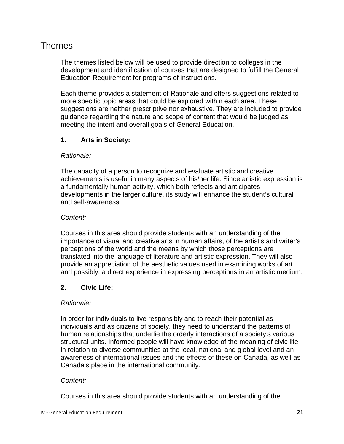### <span id="page-26-0"></span>Themes

The themes listed below will be used to provide direction to colleges in the development and identification of courses that are designed to fulfill the General Education Requirement for programs of instructions.

Each theme provides a statement of Rationale and offers suggestions related to more specific topic areas that could be explored within each area. These suggestions are neither prescriptive nor exhaustive. They are included to provide guidance regarding the nature and scope of content that would be judged as meeting the intent and overall goals of General Education.

#### **1. Arts in Society:**

#### *Rationale:*

The capacity of a person to recognize and evaluate artistic and creative achievements is useful in many aspects of his/her life. Since artistic expression is a fundamentally human activity, which both reflects and anticipates developments in the larger culture, its study will enhance the student's cultural and self-awareness.

#### *Content:*

Courses in this area should provide students with an understanding of the importance of visual and creative arts in human affairs, of the artist's and writer's perceptions of the world and the means by which those perceptions are translated into the language of literature and artistic expression. They will also provide an appreciation of the aesthetic values used in examining works of art and possibly, a direct experience in expressing perceptions in an artistic medium.

#### **2. Civic Life:**

#### *Rationale:*

In order for individuals to live responsibly and to reach their potential as individuals and as citizens of society, they need to understand the patterns of human relationships that underlie the orderly interactions of a society's various structural units. Informed people will have knowledge of the meaning of civic life in relation to diverse communities at the local, national and global level and an awareness of international issues and the effects of these on Canada, as well as Canada's place in the international community.

#### *Content:*

Courses in this area should provide students with an understanding of the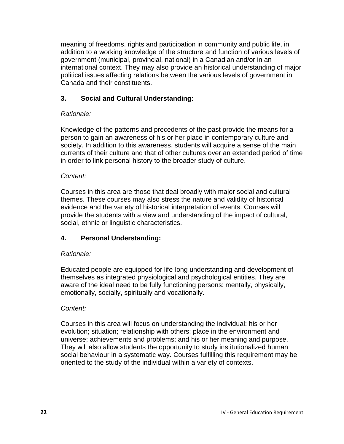meaning of freedoms, rights and participation in community and public life, in addition to a working knowledge of the structure and function of various levels of government (municipal, provincial, national) in a Canadian and/or in an international context. They may also provide an historical understanding of major political issues affecting relations between the various levels of government in Canada and their constituents.

#### **3. Social and Cultural Understanding:**

#### *Rationale:*

Knowledge of the patterns and precedents of the past provide the means for a person to gain an awareness of his or her place in contemporary culture and society. In addition to this awareness, students will acquire a sense of the main currents of their culture and that of other cultures over an extended period of time in order to link personal history to the broader study of culture.

#### *Content:*

Courses in this area are those that deal broadly with major social and cultural themes. These courses may also stress the nature and validity of historical evidence and the variety of historical interpretation of events. Courses will provide the students with a view and understanding of the impact of cultural, social, ethnic or linguistic characteristics.

#### **4. Personal Understanding:**

#### *Rationale:*

Educated people are equipped for life-long understanding and development of themselves as integrated physiological and psychological entities. They are aware of the ideal need to be fully functioning persons: mentally, physically, emotionally, socially, spiritually and vocationally.

#### *Content:*

Courses in this area will focus on understanding the individual: his or her evolution; situation; relationship with others; place in the environment and universe; achievements and problems; and his or her meaning and purpose. They will also allow students the opportunity to study institutionalized human social behaviour in a systematic way. Courses fulfilling this requirement may be oriented to the study of the individual within a variety of contexts.